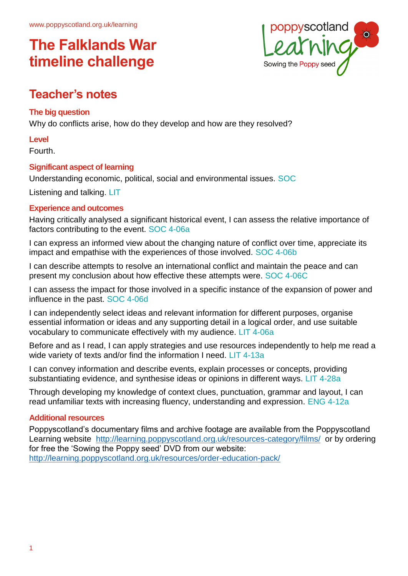

## **Teacher's notes**

#### **The big question**

Why do conflicts arise, how do they develop and how are they resolved?

#### **Level**

Fourth.

#### **Significant aspect of learning**

Understanding economic, political, social and environmental issues. SOC

Listening and talking. LIT

#### **Experience and outcomes**

Having critically analysed a significant historical event, I can assess the relative importance of factors contributing to the event. SOC 4-06a

I can express an informed view about the changing nature of conflict over time, appreciate its impact and empathise with the experiences of those involved. SOC 4-06b

I can describe attempts to resolve an international conflict and maintain the peace and can present my conclusion about how effective these attempts were. SOC 4-06C

I can assess the impact for those involved in a specific instance of the expansion of power and influence in the past. SOC 4-06d

I can independently select ideas and relevant information for different purposes, organise essential information or ideas and any supporting detail in a logical order, and use suitable vocabulary to communicate effectively with my audience. LIT 4-06a

Before and as I read, I can apply strategies and use resources independently to help me read a wide variety of texts and/or find the information I need. LIT 4-13a

I can convey information and describe events, explain processes or concepts, providing substantiating evidence, and synthesise ideas or opinions in different ways. LIT 4-28a

Through developing my knowledge of context clues, punctuation, grammar and layout, I can read unfamiliar texts with increasing fluency, understanding and expression. ENG 4-12a

#### **Additional resources**

Poppyscotland's documentary films and archive footage are available from the Poppyscotland Learning website <http://learning.poppyscotland.org.uk/resources-category/films/>or by ordering for free the 'Sowing the Poppy seed' DVD from our website: <http://learning.poppyscotland.org.uk/resources/order-education-pack/>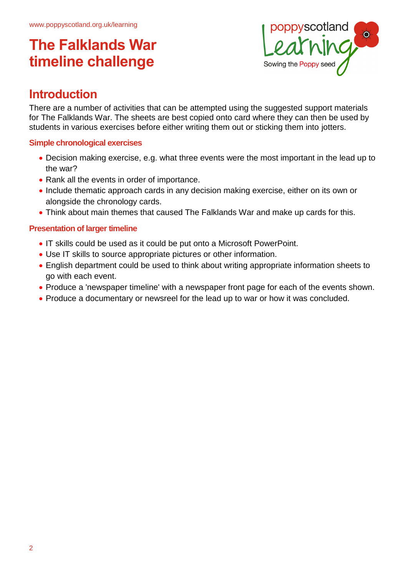

### **Introduction**

There are a number of activities that can be attempted using the suggested support materials for The Falklands War. The sheets are best copied onto card where they can then be used by students in various exercises before either writing them out or sticking them into jotters.

#### **Simple chronological exercises**

- Decision making exercise, e.g. what three events were the most important in the lead up to the war?
- Rank all the events in order of importance.
- Include thematic approach cards in any decision making exercise, either on its own or alongside the chronology cards.
- Think about main themes that caused The Falklands War and make up cards for this.

#### **Presentation of larger timeline**

- IT skills could be used as it could be put onto a Microsoft PowerPoint.
- Use IT skills to source appropriate pictures or other information.
- English department could be used to think about writing appropriate information sheets to go with each event.
- Produce a 'newspaper timeline' with a newspaper front page for each of the events shown.
- Produce a documentary or newsreel for the lead up to war or how it was concluded.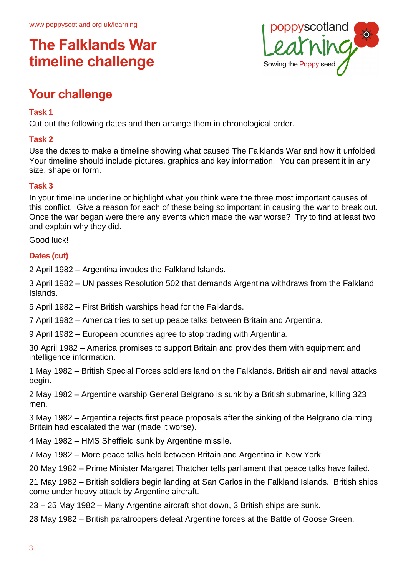

## **Your challenge**

#### **Task 1**

Cut out the following dates and then arrange them in chronological order.

#### **Task 2**

Use the dates to make a timeline showing what caused The Falklands War and how it unfolded. Your timeline should include pictures, graphics and key information. You can present it in any size, shape or form.

#### **Task 3**

In your timeline underline or highlight what you think were the three most important causes of this conflict. Give a reason for each of these being so important in causing the war to break out. Once the war began were there any events which made the war worse? Try to find at least two and explain why they did.

Good luck!

#### **Dates (cut)**

2 April 1982 – Argentina invades the Falkland Islands.

3 April 1982 – UN passes Resolution 502 that demands Argentina withdraws from the Falkland Islands.

5 April 1982 – First British warships head for the Falklands.

7 April 1982 – America tries to set up peace talks between Britain and Argentina.

9 April 1982 – European countries agree to stop trading with Argentina.

30 April 1982 – America promises to support Britain and provides them with equipment and intelligence information.

1 May 1982 – British Special Forces soldiers land on the Falklands. British air and naval attacks begin.

2 May 1982 – Argentine warship General Belgrano is sunk by a British submarine, killing 323 men.

3 May 1982 – Argentina rejects first peace proposals after the sinking of the Belgrano claiming Britain had escalated the war (made it worse).

4 May 1982 – HMS Sheffield sunk by Argentine missile.

7 May 1982 – More peace talks held between Britain and Argentina in New York.

20 May 1982 – Prime Minister Margaret Thatcher tells parliament that peace talks have failed.

21 May 1982 – British soldiers begin landing at San Carlos in the Falkland Islands. British ships come under heavy attack by Argentine aircraft.

23 – 25 May 1982 – Many Argentine aircraft shot down, 3 British ships are sunk.

28 May 1982 – British paratroopers defeat Argentine forces at the Battle of Goose Green.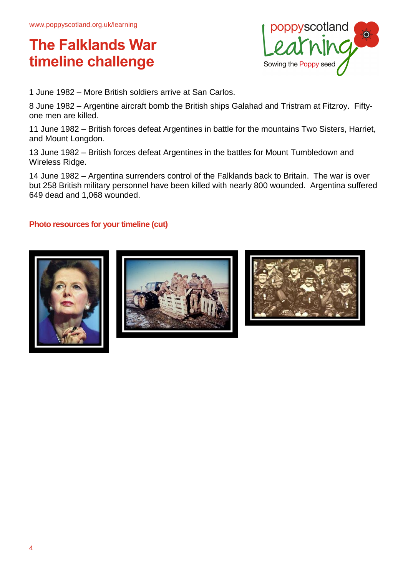

1 June 1982 – More British soldiers arrive at San Carlos.

8 June 1982 – Argentine aircraft bomb the British ships Galahad and Tristram at Fitzroy. Fiftyone men are killed.

11 June 1982 – British forces defeat Argentines in battle for the mountains Two Sisters, Harriet, and Mount Longdon.

13 June 1982 – British forces defeat Argentines in the battles for Mount Tumbledown and Wireless Ridge.

14 June 1982 – Argentina surrenders control of the Falklands back to Britain. The war is over but 258 British military personnel have been killed with nearly 800 wounded. Argentina suffered 649 dead and 1,068 wounded.

#### **Photo resources for your timeline (cut)**





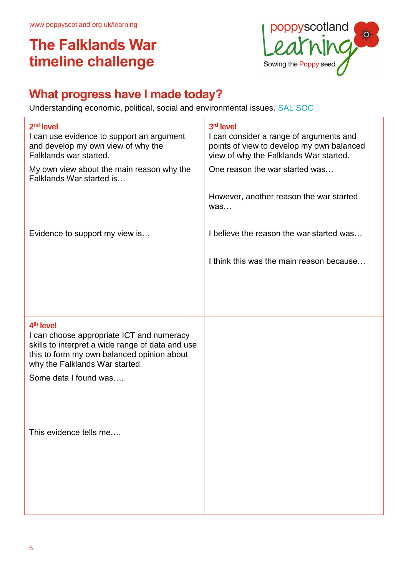

## **What progress have I made today?**

Understanding economic, political, social and environmental issues. SAL SOC

| 2 <sup>nd</sup> level<br>I can use evidence to support an argument<br>and develop my own view of why the<br>Falklands war started.<br>My own view about the main reason why the<br>Falklands War started is                     | 3rd level<br>I can consider a range of arguments and<br>points of view to develop my own balanced<br>view of why the Falklands War started.<br>One reason the war started was |
|---------------------------------------------------------------------------------------------------------------------------------------------------------------------------------------------------------------------------------|-------------------------------------------------------------------------------------------------------------------------------------------------------------------------------|
|                                                                                                                                                                                                                                 | However, another reason the war started<br>was                                                                                                                                |
| Evidence to support my view is                                                                                                                                                                                                  | I believe the reason the war started was                                                                                                                                      |
|                                                                                                                                                                                                                                 | I think this was the main reason because                                                                                                                                      |
|                                                                                                                                                                                                                                 |                                                                                                                                                                               |
| 4 <sup>th</sup> level<br>I can choose appropriate ICT and numeracy<br>skills to interpret a wide range of data and use<br>this to form my own balanced opinion about<br>why the Falklands War started.<br>Some data I found was |                                                                                                                                                                               |
| This evidence tells me                                                                                                                                                                                                          |                                                                                                                                                                               |
|                                                                                                                                                                                                                                 |                                                                                                                                                                               |